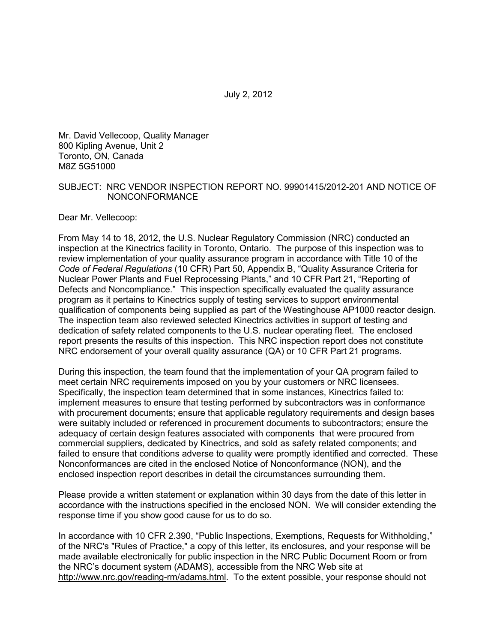Mr. David Vellecoop, Quality Manager 800 Kipling Avenue, Unit 2 Toronto, ON, Canada M8Z 5G51000

#### SUBJECT: NRC VENDOR INSPECTION REPORT NO. 99901415/2012-201 AND NOTICE OF NONCONFORMANCE

Dear Mr. Vellecoop:

From May 14 to 18, 2012, the U.S. Nuclear Regulatory Commission (NRC) conducted an inspection at the Kinectrics facility in Toronto, Ontario. The purpose of this inspection was to review implementation of your quality assurance program in accordance with Title 10 of the *Code of Federal Regulations* (10 CFR) Part 50, Appendix B, "Quality Assurance Criteria for Nuclear Power Plants and Fuel Reprocessing Plants," and 10 CFR Part 21, "Reporting of Defects and Noncompliance." This inspection specifically evaluated the quality assurance program as it pertains to Kinectrics supply of testing services to support environmental qualification of components being supplied as part of the Westinghouse AP1000 reactor design. The inspection team also reviewed selected Kinectrics activities in support of testing and dedication of safety related components to the U.S. nuclear operating fleet. The enclosed report presents the results of this inspection. This NRC inspection report does not constitute NRC endorsement of your overall quality assurance (QA) or 10 CFR Part 21 programs.

During this inspection, the team found that the implementation of your QA program failed to meet certain NRC requirements imposed on you by your customers or NRC licensees. Specifically, the inspection team determined that in some instances, Kinectrics failed to: implement measures to ensure that testing performed by subcontractors was in conformance with procurement documents; ensure that applicable regulatory requirements and design bases were suitably included or referenced in procurement documents to subcontractors; ensure the adequacy of certain design features associated with components that were procured from commercial suppliers, dedicated by Kinectrics, and sold as safety related components; and failed to ensure that conditions adverse to quality were promptly identified and corrected. These Nonconformances are cited in the enclosed Notice of Nonconformance (NON), and the enclosed inspection report describes in detail the circumstances surrounding them.

Please provide a written statement or explanation within 30 days from the date of this letter in accordance with the instructions specified in the enclosed NON. We will consider extending the response time if you show good cause for us to do so.

In accordance with 10 CFR 2.390, "Public Inspections, Exemptions, Requests for Withholding," of the NRC's "Rules of Practice," a copy of this letter, its enclosures, and your response will be made available electronically for public inspection in the NRC Public Document Room or from the NRC's document system (ADAMS), accessible from the NRC Web site at http://www.nrc.gov/reading-rm/adams.html. To the extent possible, your response should not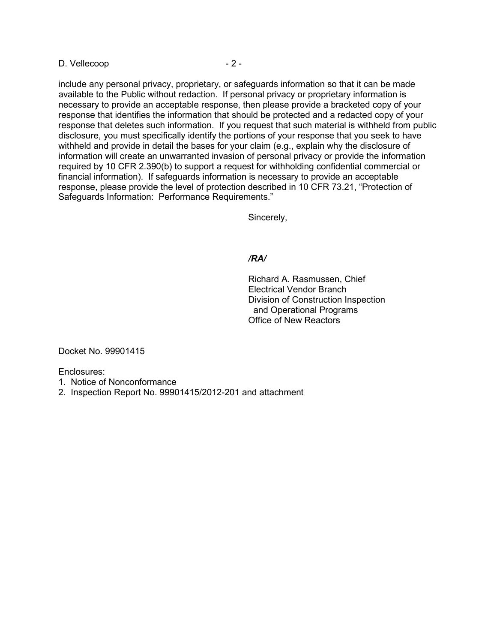D. Vellecoop - 2 -

include any personal privacy, proprietary, or safeguards information so that it can be made available to the Public without redaction. If personal privacy or proprietary information is necessary to provide an acceptable response, then please provide a bracketed copy of your response that identifies the information that should be protected and a redacted copy of your response that deletes such information. If you request that such material is withheld from public disclosure, you must specifically identify the portions of your response that you seek to have withheld and provide in detail the bases for your claim (e.g., explain why the disclosure of information will create an unwarranted invasion of personal privacy or provide the information required by 10 CFR 2.390(b) to support a request for withholding confidential commercial or financial information). If safeguards information is necessary to provide an acceptable response, please provide the level of protection described in 10 CFR 73.21, "Protection of Safeguards Information: Performance Requirements."

Sincerely,

#### */RA/*

Richard A. Rasmussen, Chief Electrical Vendor Branch Division of Construction Inspection and Operational Programs Office of New Reactors

Docket No. 99901415

Enclosures:

- 1. Notice of Nonconformance
- 2. Inspection Report No. 99901415/2012-201 and attachment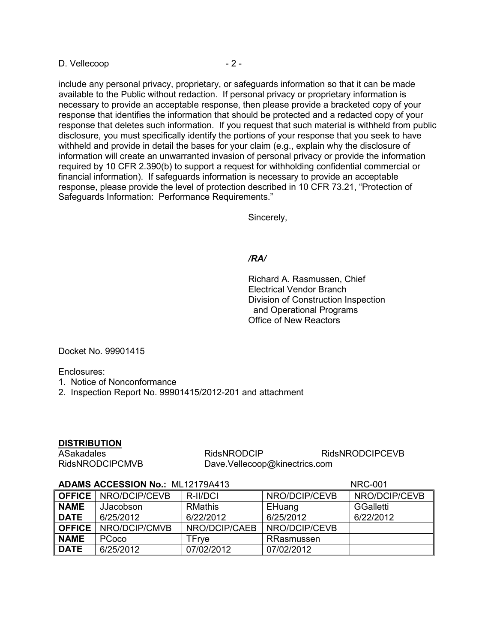D. Vellecoop - 2 -

include any personal privacy, proprietary, or safeguards information so that it can be made available to the Public without redaction. If personal privacy or proprietary information is necessary to provide an acceptable response, then please provide a bracketed copy of your response that identifies the information that should be protected and a redacted copy of your response that deletes such information. If you request that such material is withheld from public disclosure, you must specifically identify the portions of your response that you seek to have withheld and provide in detail the bases for your claim (e.g., explain why the disclosure of information will create an unwarranted invasion of personal privacy or provide the information required by 10 CFR 2.390(b) to support a request for withholding confidential commercial or financial information). If safeguards information is necessary to provide an acceptable response, please provide the level of protection described in 10 CFR 73.21, "Protection of Safeguards Information: Performance Requirements."

Sincerely,

#### */RA/*

Richard A. Rasmussen, Chief Electrical Vendor Branch Division of Construction Inspection and Operational Programs Office of New Reactors

Docket No. 99901415

Enclosures:

1. Notice of Nonconformance

2. Inspection Report No. 99901415/2012-201 and attachment

#### **DISTRIBUTION**

ASakadales RidsNRODCIP RidsNRODCIP RidsNRODCIPCEVB<br>RidsNRODCIPCMVB Dave.Vellecoop@kinectrics.com Dave.Vellecoop@kinectrics.com

#### **ADAMS ACCESSION No.:** ML12179A413 NRC-001

**OFFICE** NRO/DCIP/CEVB R-II/DCI NRO/DCIP/CEVB NRO/DCIP/CEVB **NAME** JJacobson RMathis **EHuang** GGalletti **DATE** 6/25/2012 6/22/2012 6/25/2012 6/22/2012 **OFFICE** NRO/DCIP/CMVB NRO/DCIP/CAEB NRO/DCIP/CEVB **NAME** PCoco TFrye RRasmussen **DATE** 6/25/2012 07/02/2012 07/02/2012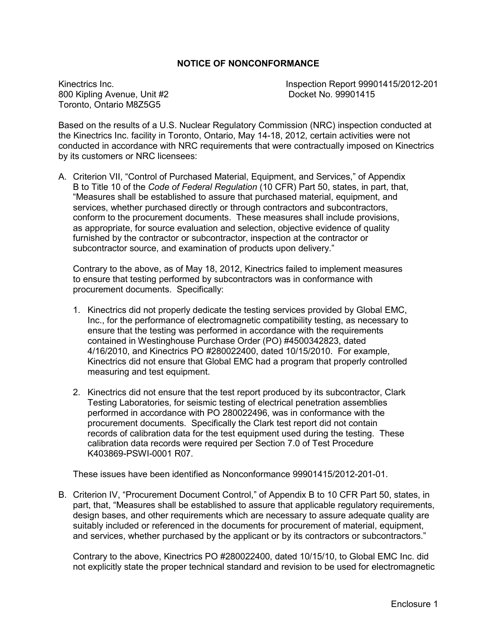#### **NOTICE OF NONCONFORMANCE**

800 Kipling Avenue, Unit #2 Toronto, Ontario M8Z5G5

Kinectrics Inc.<br>
800 Kipling Avenue. Unit #2 **Inspection Report 99901415/2012-201**<br>
Docket No. 99901415

Based on the results of a U.S. Nuclear Regulatory Commission (NRC) inspection conducted at the Kinectrics Inc. facility in Toronto, Ontario, May 14-18, 2012, certain activities were not conducted in accordance with NRC requirements that were contractually imposed on Kinectrics by its customers or NRC licensees:

A. Criterion VII, "Control of Purchased Material, Equipment, and Services," of Appendix B to Title 10 of the *Code of Federal Regulation* (10 CFR) Part 50, states, in part, that, "Measures shall be established to assure that purchased material, equipment, and services, whether purchased directly or through contractors and subcontractors, conform to the procurement documents. These measures shall include provisions, as appropriate, for source evaluation and selection, objective evidence of quality furnished by the contractor or subcontractor, inspection at the contractor or subcontractor source, and examination of products upon delivery."

Contrary to the above, as of May 18, 2012, Kinectrics failed to implement measures to ensure that testing performed by subcontractors was in conformance with procurement documents. Specifically:

- 1. Kinectrics did not properly dedicate the testing services provided by Global EMC, Inc., for the performance of electromagnetic compatibility testing, as necessary to ensure that the testing was performed in accordance with the requirements contained in Westinghouse Purchase Order (PO) #4500342823, dated 4/16/2010, and Kinectrics PO #280022400, dated 10/15/2010. For example, Kinectrics did not ensure that Global EMC had a program that properly controlled measuring and test equipment.
- 2. Kinectrics did not ensure that the test report produced by its subcontractor, Clark Testing Laboratories, for seismic testing of electrical penetration assemblies performed in accordance with PO 280022496, was in conformance with the procurement documents. Specifically the Clark test report did not contain records of calibration data for the test equipment used during the testing. These calibration data records were required per Section 7.0 of Test Procedure K403869-PSWI-0001 R07.

These issues have been identified as Nonconformance 99901415/2012-201-01.

B. Criterion IV, "Procurement Document Control," of Appendix B to 10 CFR Part 50, states, in part, that, "Measures shall be established to assure that applicable regulatory requirements, design bases, and other requirements which are necessary to assure adequate quality are suitably included or referenced in the documents for procurement of material, equipment, and services, whether purchased by the applicant or by its contractors or subcontractors."

Contrary to the above, Kinectrics PO #280022400, dated 10/15/10, to Global EMC Inc. did not explicitly state the proper technical standard and revision to be used for electromagnetic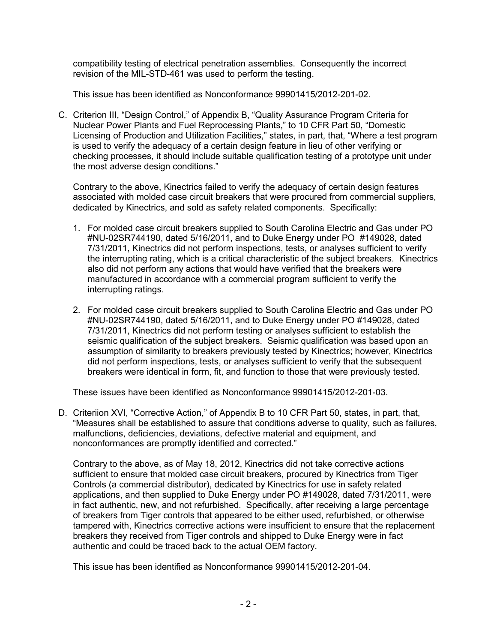compatibility testing of electrical penetration assemblies. Consequently the incorrect revision of the MIL-STD-461 was used to perform the testing.

This issue has been identified as Nonconformance 99901415/2012-201-02.

C. Criterion III, "Design Control," of Appendix B, "Quality Assurance Program Criteria for Nuclear Power Plants and Fuel Reprocessing Plants," to 10 CFR Part 50, "Domestic Licensing of Production and Utilization Facilities," states, in part, that, "Where a test program is used to verify the adequacy of a certain design feature in lieu of other verifying or checking processes, it should include suitable qualification testing of a prototype unit under the most adverse design conditions."

Contrary to the above, Kinectrics failed to verify the adequacy of certain design features associated with molded case circuit breakers that were procured from commercial suppliers, dedicated by Kinectrics, and sold as safety related components. Specifically:

- 1. For molded case circuit breakers supplied to South Carolina Electric and Gas under PO #NU-02SR744190, dated 5/16/2011, and to Duke Energy under PO #149028, dated 7/31/2011, Kinectrics did not perform inspections, tests, or analyses sufficient to verify the interrupting rating, which is a critical characteristic of the subject breakers. Kinectrics also did not perform any actions that would have verified that the breakers were manufactured in accordance with a commercial program sufficient to verify the interrupting ratings.
- 2. For molded case circuit breakers supplied to South Carolina Electric and Gas under PO #NU-02SR744190, dated 5/16/2011, and to Duke Energy under PO #149028, dated 7/31/2011, Kinectrics did not perform testing or analyses sufficient to establish the seismic qualification of the subject breakers. Seismic qualification was based upon an assumption of similarity to breakers previously tested by Kinectrics; however, Kinectrics did not perform inspections, tests, or analyses sufficient to verify that the subsequent breakers were identical in form, fit, and function to those that were previously tested.

These issues have been identified as Nonconformance 99901415/2012-201-03.

D. Criteriion XVI, "Corrective Action," of Appendix B to 10 CFR Part 50, states, in part, that, "Measures shall be established to assure that conditions adverse to quality, such as failures, malfunctions, deficiencies, deviations, defective material and equipment, and nonconformances are promptly identified and corrected."

Contrary to the above, as of May 18, 2012, Kinectrics did not take corrective actions sufficient to ensure that molded case circuit breakers, procured by Kinectrics from Tiger Controls (a commercial distributor), dedicated by Kinectrics for use in safety related applications, and then supplied to Duke Energy under PO #149028, dated 7/31/2011, were in fact authentic, new, and not refurbished. Specifically, after receiving a large percentage of breakers from Tiger controls that appeared to be either used, refurbished, or otherwise tampered with, Kinectrics corrective actions were insufficient to ensure that the replacement breakers they received from Tiger controls and shipped to Duke Energy were in fact authentic and could be traced back to the actual OEM factory.

This issue has been identified as Nonconformance 99901415/2012-201-04.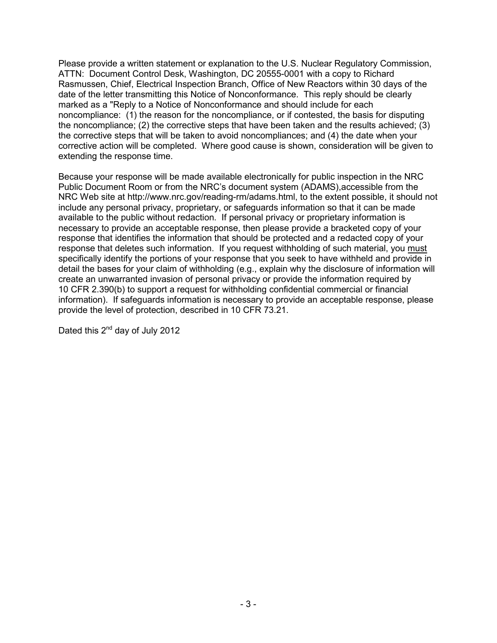Please provide a written statement or explanation to the U.S. Nuclear Regulatory Commission, ATTN: Document Control Desk, Washington, DC 20555-0001 with a copy to Richard Rasmussen, Chief, Electrical Inspection Branch, Office of New Reactors within 30 days of the date of the letter transmitting this Notice of Nonconformance. This reply should be clearly marked as a "Reply to a Notice of Nonconformance and should include for each noncompliance: (1) the reason for the noncompliance, or if contested, the basis for disputing the noncompliance; (2) the corrective steps that have been taken and the results achieved; (3) the corrective steps that will be taken to avoid noncompliances; and (4) the date when your corrective action will be completed. Where good cause is shown, consideration will be given to extending the response time.

Because your response will be made available electronically for public inspection in the NRC Public Document Room or from the NRC's document system (ADAMS),accessible from the NRC Web site at http://www.nrc.gov/reading-rm/adams.html, to the extent possible, it should not include any personal privacy, proprietary, or safeguards information so that it can be made available to the public without redaction. If personal privacy or proprietary information is necessary to provide an acceptable response, then please provide a bracketed copy of your response that identifies the information that should be protected and a redacted copy of your response that deletes such information. If you request withholding of such material, you must specifically identify the portions of your response that you seek to have withheld and provide in detail the bases for your claim of withholding (e.g., explain why the disclosure of information will create an unwarranted invasion of personal privacy or provide the information required by 10 CFR 2.390(b) to support a request for withholding confidential commercial or financial information). If safeguards information is necessary to provide an acceptable response, please provide the level of protection, described in 10 CFR 73.21.

Dated this 2<sup>nd</sup> day of July 2012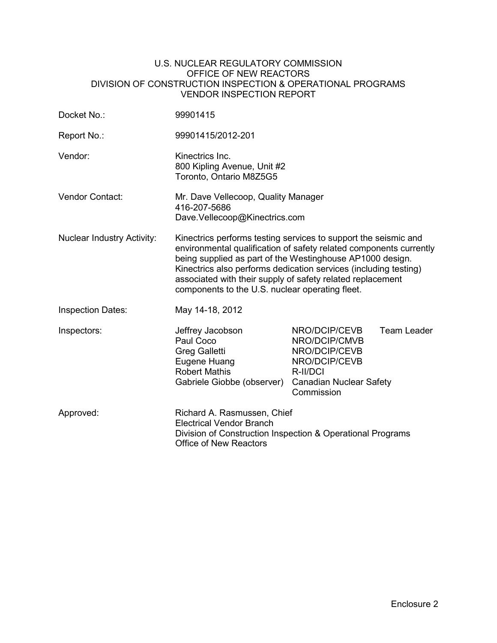#### U.S. NUCLEAR REGULATORY COMMISSION OFFICE OF NEW REACTORS DIVISION OF CONSTRUCTION INSPECTION & OPERATIONAL PROGRAMS VENDOR INSPECTION REPORT

| Docket No.:                       | 99901415                                                                                                                                                                                                                                                                                                                                                                                |                                                                                                                              |             |
|-----------------------------------|-----------------------------------------------------------------------------------------------------------------------------------------------------------------------------------------------------------------------------------------------------------------------------------------------------------------------------------------------------------------------------------------|------------------------------------------------------------------------------------------------------------------------------|-------------|
| Report No.:                       | 99901415/2012-201                                                                                                                                                                                                                                                                                                                                                                       |                                                                                                                              |             |
| Vendor:                           | Kinectrics Inc.<br>800 Kipling Avenue, Unit #2<br>Toronto, Ontario M8Z5G5                                                                                                                                                                                                                                                                                                               |                                                                                                                              |             |
| Vendor Contact:                   | Mr. Dave Vellecoop, Quality Manager<br>416-207-5686<br>Dave.Vellecoop@Kinectrics.com                                                                                                                                                                                                                                                                                                    |                                                                                                                              |             |
| <b>Nuclear Industry Activity:</b> | Kinectrics performs testing services to support the seismic and<br>environmental qualification of safety related components currently<br>being supplied as part of the Westinghouse AP1000 design.<br>Kinectrics also performs dedication services (including testing)<br>associated with their supply of safety related replacement<br>components to the U.S. nuclear operating fleet. |                                                                                                                              |             |
| <b>Inspection Dates:</b>          | May 14-18, 2012                                                                                                                                                                                                                                                                                                                                                                         |                                                                                                                              |             |
| Inspectors:                       | Jeffrey Jacobson<br>Paul Coco<br><b>Greg Galletti</b><br>Eugene Huang<br><b>Robert Mathis</b><br>Gabriele Giobbe (observer)                                                                                                                                                                                                                                                             | NRO/DCIP/CEVB<br>NRO/DCIP/CMVB<br>NRO/DCIP/CEVB<br>NRO/DCIP/CEVB<br>R-II/DCI<br><b>Canadian Nuclear Safety</b><br>Commission | Team Leader |
| Approved:                         | Richard A. Rasmussen, Chief<br><b>Electrical Vendor Branch</b><br>Division of Construction Inspection & Operational Programs<br><b>Office of New Reactors</b>                                                                                                                                                                                                                           |                                                                                                                              |             |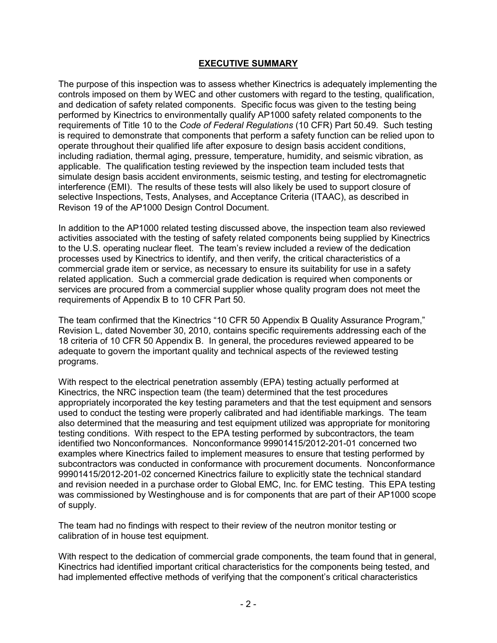# **EXECUTIVE SUMMARY**

The purpose of this inspection was to assess whether Kinectrics is adequately implementing the controls imposed on them by WEC and other customers with regard to the testing, qualification, and dedication of safety related components. Specific focus was given to the testing being performed by Kinectrics to environmentally qualify AP1000 safety related components to the requirements of Title 10 to the *Code of Federal Regulations* (10 CFR) Part 50.49. Such testing is required to demonstrate that components that perform a safety function can be relied upon to operate throughout their qualified life after exposure to design basis accident conditions, including radiation, thermal aging, pressure, temperature, humidity, and seismic vibration, as applicable. The qualification testing reviewed by the inspection team included tests that simulate design basis accident environments, seismic testing, and testing for electromagnetic interference (EMI). The results of these tests will also likely be used to support closure of selective Inspections, Tests, Analyses, and Acceptance Criteria (ITAAC), as described in Revison 19 of the AP1000 Design Control Document.

In addition to the AP1000 related testing discussed above, the inspection team also reviewed activities associated with the testing of safety related components being supplied by Kinectrics to the U.S. operating nuclear fleet. The team's review included a review of the dedication processes used by Kinectrics to identify, and then verify, the critical characteristics of a commercial grade item or service, as necessary to ensure its suitability for use in a safety related application. Such a commercial grade dedication is required when components or services are procured from a commercial supplier whose quality program does not meet the requirements of Appendix B to 10 CFR Part 50.

The team confirmed that the Kinectrics "10 CFR 50 Appendix B Quality Assurance Program," Revision L, dated November 30, 2010, contains specific requirements addressing each of the 18 criteria of 10 CFR 50 Appendix B. In general, the procedures reviewed appeared to be adequate to govern the important quality and technical aspects of the reviewed testing programs.

With respect to the electrical penetration assembly (EPA) testing actually performed at Kinectrics, the NRC inspection team (the team) determined that the test procedures appropriately incorporated the key testing parameters and that the test equipment and sensors used to conduct the testing were properly calibrated and had identifiable markings. The team also determined that the measuring and test equipment utilized was appropriate for monitoring testing conditions. With respect to the EPA testing performed by subcontractors, the team identified two Nonconformances. Nonconformance 99901415/2012-201-01 concerned two examples where Kinectrics failed to implement measures to ensure that testing performed by subcontractors was conducted in conformance with procurement documents. Nonconformance 99901415/2012-201-02 concerned Kinectrics failure to explicitly state the technical standard and revision needed in a purchase order to Global EMC, Inc. for EMC testing. This EPA testing was commissioned by Westinghouse and is for components that are part of their AP1000 scope of supply.

The team had no findings with respect to their review of the neutron monitor testing or calibration of in house test equipment.

With respect to the dedication of commercial grade components, the team found that in general, Kinectrics had identified important critical characteristics for the components being tested, and had implemented effective methods of verifying that the component's critical characteristics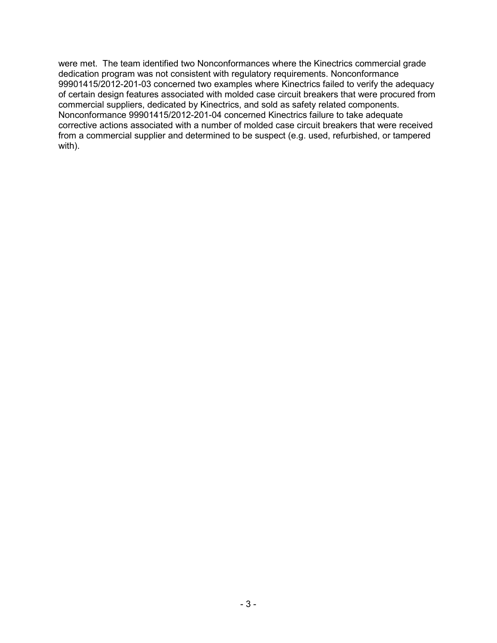were met. The team identified two Nonconformances where the Kinectrics commercial grade dedication program was not consistent with regulatory requirements. Nonconformance 99901415/2012-201-03 concerned two examples where Kinectrics failed to verify the adequacy of certain design features associated with molded case circuit breakers that were procured from commercial suppliers, dedicated by Kinectrics, and sold as safety related components. Nonconformance 99901415/2012-201-04 concerned Kinectrics failure to take adequate corrective actions associated with a number of molded case circuit breakers that were received from a commercial supplier and determined to be suspect (e.g. used, refurbished, or tampered with).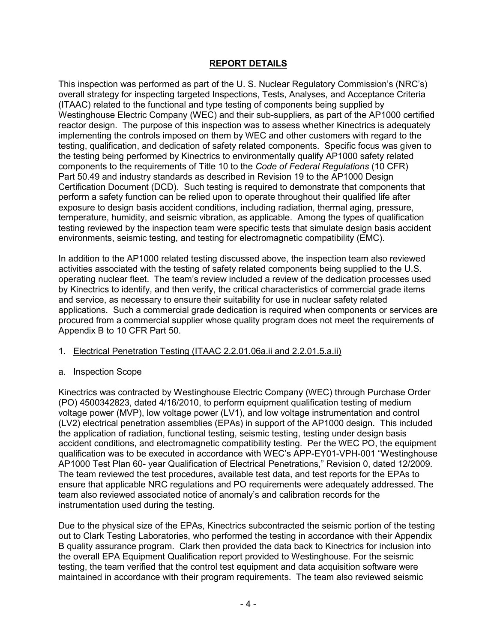# **REPORT DETAILS**

This inspection was performed as part of the U. S. Nuclear Regulatory Commission's (NRC's) overall strategy for inspecting targeted Inspections, Tests, Analyses, and Acceptance Criteria (ITAAC) related to the functional and type testing of components being supplied by Westinghouse Electric Company (WEC) and their sub-suppliers, as part of the AP1000 certified reactor design. The purpose of this inspection was to assess whether Kinectrics is adequately implementing the controls imposed on them by WEC and other customers with regard to the testing, qualification, and dedication of safety related components. Specific focus was given to the testing being performed by Kinectrics to environmentally qualify AP1000 safety related components to the requirements of Title 10 to the *Code of Federal Regulations* (10 CFR) Part 50.49 and industry standards as described in Revision 19 to the AP1000 Design Certification Document (DCD). Such testing is required to demonstrate that components that perform a safety function can be relied upon to operate throughout their qualified life after exposure to design basis accident conditions, including radiation, thermal aging, pressure, temperature, humidity, and seismic vibration, as applicable. Among the types of qualification testing reviewed by the inspection team were specific tests that simulate design basis accident environments, seismic testing, and testing for electromagnetic compatibility (EMC).

In addition to the AP1000 related testing discussed above, the inspection team also reviewed activities associated with the testing of safety related components being supplied to the U.S. operating nuclear fleet. The team's review included a review of the dedication processes used by Kinectrics to identify, and then verify, the critical characteristics of commercial grade items and service, as necessary to ensure their suitability for use in nuclear safety related applications. Such a commercial grade dedication is required when components or services are procured from a commercial supplier whose quality program does not meet the requirements of Appendix B to 10 CFR Part 50.

## 1. Electrical Penetration Testing (ITAAC 2.2.01.06a.ii and 2.2.01.5.a.ii)

## a. Inspection Scope

Kinectrics was contracted by Westinghouse Electric Company (WEC) through Purchase Order (PO) 4500342823, dated 4/16/2010, to perform equipment qualification testing of medium voltage power (MVP), low voltage power (LV1), and low voltage instrumentation and control (LV2) electrical penetration assemblies (EPAs) in support of the AP1000 design. This included the application of radiation, functional testing, seismic testing, testing under design basis accident conditions, and electromagnetic compatibility testing. Per the WEC PO, the equipment qualification was to be executed in accordance with WEC's APP-EY01-VPH-001 "Westinghouse AP1000 Test Plan 60- year Qualification of Electrical Penetrations," Revision 0, dated 12/2009. The team reviewed the test procedures, available test data, and test reports for the EPAs to ensure that applicable NRC regulations and PO requirements were adequately addressed. The team also reviewed associated notice of anomaly's and calibration records for the instrumentation used during the testing.

Due to the physical size of the EPAs, Kinectrics subcontracted the seismic portion of the testing out to Clark Testing Laboratories, who performed the testing in accordance with their Appendix B quality assurance program. Clark then provided the data back to Kinectrics for inclusion into the overall EPA Equipment Qualification report provided to Westinghouse. For the seismic testing, the team verified that the control test equipment and data acquisition software were maintained in accordance with their program requirements. The team also reviewed seismic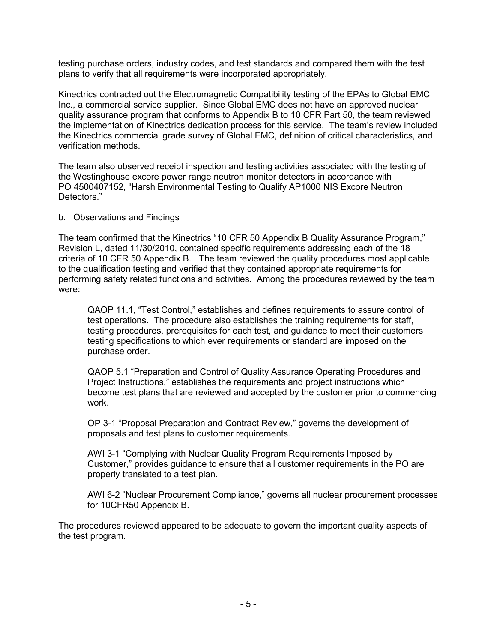testing purchase orders, industry codes, and test standards and compared them with the test plans to verify that all requirements were incorporated appropriately.

Kinectrics contracted out the Electromagnetic Compatibility testing of the EPAs to Global EMC Inc., a commercial service supplier. Since Global EMC does not have an approved nuclear quality assurance program that conforms to Appendix B to 10 CFR Part 50, the team reviewed the implementation of Kinectrics dedication process for this service. The team's review included the Kinectrics commercial grade survey of Global EMC, definition of critical characteristics, and verification methods.

The team also observed receipt inspection and testing activities associated with the testing of the Westinghouse excore power range neutron monitor detectors in accordance with PO 4500407152, "Harsh Environmental Testing to Qualify AP1000 NIS Excore Neutron Detectors."

#### b. Observations and Findings

The team confirmed that the Kinectrics "10 CFR 50 Appendix B Quality Assurance Program," Revision L, dated 11/30/2010, contained specific requirements addressing each of the 18 criteria of 10 CFR 50 Appendix B. The team reviewed the quality procedures most applicable to the qualification testing and verified that they contained appropriate requirements for performing safety related functions and activities. Among the procedures reviewed by the team were:

QAOP 11.1, "Test Control," establishes and defines requirements to assure control of test operations. The procedure also establishes the training requirements for staff, testing procedures, prerequisites for each test, and guidance to meet their customers testing specifications to which ever requirements or standard are imposed on the purchase order.

QAOP 5.1 "Preparation and Control of Quality Assurance Operating Procedures and Project Instructions," establishes the requirements and project instructions which become test plans that are reviewed and accepted by the customer prior to commencing work.

OP 3-1 "Proposal Preparation and Contract Review," governs the development of proposals and test plans to customer requirements.

AWI 3-1 "Complying with Nuclear Quality Program Requirements Imposed by Customer," provides guidance to ensure that all customer requirements in the PO are properly translated to a test plan.

AWI 6-2 "Nuclear Procurement Compliance," governs all nuclear procurement processes for 10CFR50 Appendix B.

The procedures reviewed appeared to be adequate to govern the important quality aspects of the test program.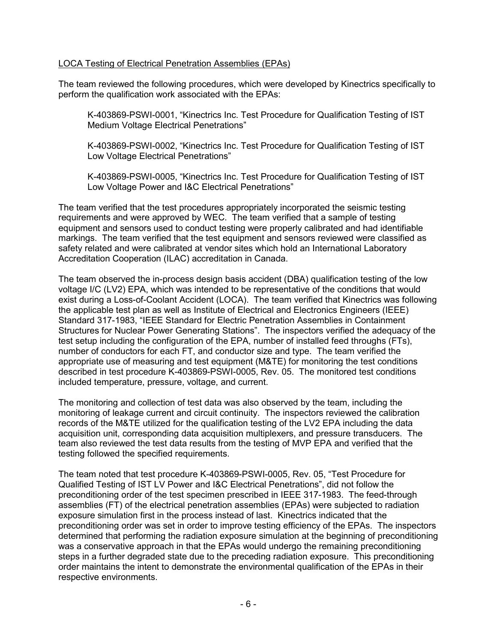## LOCA Testing of Electrical Penetration Assemblies (EPAs)

The team reviewed the following procedures, which were developed by Kinectrics specifically to perform the qualification work associated with the EPAs:

K-403869-PSWI-0001, "Kinectrics Inc. Test Procedure for Qualification Testing of IST Medium Voltage Electrical Penetrations"

K-403869-PSWI-0002, "Kinectrics Inc. Test Procedure for Qualification Testing of IST Low Voltage Electrical Penetrations"

K-403869-PSWI-0005, "Kinectrics Inc. Test Procedure for Qualification Testing of IST Low Voltage Power and I&C Electrical Penetrations"

The team verified that the test procedures appropriately incorporated the seismic testing requirements and were approved by WEC. The team verified that a sample of testing equipment and sensors used to conduct testing were properly calibrated and had identifiable markings. The team verified that the test equipment and sensors reviewed were classified as safety related and were calibrated at vendor sites which hold an International Laboratory Accreditation Cooperation (ILAC) accreditation in Canada.

The team observed the in-process design basis accident (DBA) qualification testing of the low voltage I/C (LV2) EPA, which was intended to be representative of the conditions that would exist during a Loss-of-Coolant Accident (LOCA). The team verified that Kinectrics was following the applicable test plan as well as Institute of Electrical and Electronics Engineers (IEEE) Standard 317-1983, "IEEE Standard for Electric Penetration Assemblies in Containment Structures for Nuclear Power Generating Stations". The inspectors verified the adequacy of the test setup including the configuration of the EPA, number of installed feed throughs (FTs), number of conductors for each FT, and conductor size and type. The team verified the appropriate use of measuring and test equipment (M&TE) for monitoring the test conditions described in test procedure K-403869-PSWI-0005, Rev. 05. The monitored test conditions included temperature, pressure, voltage, and current.

The monitoring and collection of test data was also observed by the team, including the monitoring of leakage current and circuit continuity. The inspectors reviewed the calibration records of the M&TE utilized for the qualification testing of the LV2 EPA including the data acquisition unit, corresponding data acquisition multiplexers, and pressure transducers. The team also reviewed the test data results from the testing of MVP EPA and verified that the testing followed the specified requirements.

The team noted that test procedure K-403869-PSWI-0005, Rev. 05, "Test Procedure for Qualified Testing of IST LV Power and I&C Electrical Penetrations", did not follow the preconditioning order of the test specimen prescribed in IEEE 317-1983. The feed-through assemblies (FT) of the electrical penetration assemblies (EPAs) were subjected to radiation exposure simulation first in the process instead of last. Kinectrics indicated that the preconditioning order was set in order to improve testing efficiency of the EPAs. The inspectors determined that performing the radiation exposure simulation at the beginning of preconditioning was a conservative approach in that the EPAs would undergo the remaining preconditioning steps in a further degraded state due to the preceding radiation exposure. This preconditioning order maintains the intent to demonstrate the environmental qualification of the EPAs in their respective environments.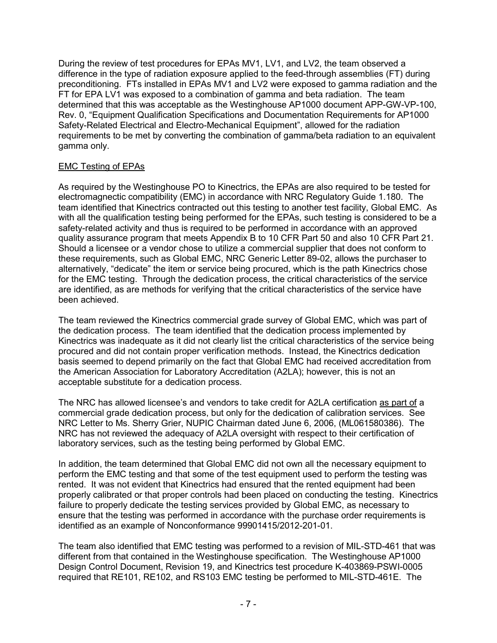During the review of test procedures for EPAs MV1, LV1, and LV2, the team observed a difference in the type of radiation exposure applied to the feed-through assemblies (FT) during preconditioning. FTs installed in EPAs MV1 and LV2 were exposed to gamma radiation and the FT for EPA LV1 was exposed to a combination of gamma and beta radiation. The team determined that this was acceptable as the Westinghouse AP1000 document APP-GW-VP-100, Rev. 0, "Equipment Qualification Specifications and Documentation Requirements for AP1000 Safety-Related Electrical and Electro-Mechanical Equipment", allowed for the radiation requirements to be met by converting the combination of gamma/beta radiation to an equivalent gamma only.

# EMC Testing of EPAs

As required by the Westinghouse PO to Kinectrics, the EPAs are also required to be tested for electromagnectic compatibility (EMC) in accordance with NRC Regulatory Guide 1.180. The team identified that Kinectrics contracted out this testing to another test facility, Global EMC. As with all the qualification testing being performed for the EPAs, such testing is considered to be a safety-related activity and thus is required to be performed in accordance with an approved quality assurance program that meets Appendix B to 10 CFR Part 50 and also 10 CFR Part 21. Should a licensee or a vendor chose to utilize a commercial supplier that does not conform to these requirements, such as Global EMC, NRC Generic Letter 89-02, allows the purchaser to alternatively, "dedicate" the item or service being procured, which is the path Kinectrics chose for the EMC testing. Through the dedication process, the critical characteristics of the service are identified, as are methods for verifying that the critical characteristics of the service have been achieved.

The team reviewed the Kinectrics commercial grade survey of Global EMC, which was part of the dedication process. The team identified that the dedication process implemented by Kinectrics was inadequate as it did not clearly list the critical characteristics of the service being procured and did not contain proper verification methods. Instead, the Kinectrics dedication basis seemed to depend primarily on the fact that Global EMC had received accreditation from the American Association for Laboratory Accreditation (A2LA); however, this is not an acceptable substitute for a dedication process.

The NRC has allowed licensee's and vendors to take credit for A2LA certification as part of a commercial grade dedication process, but only for the dedication of calibration services. See NRC Letter to Ms. Sherry Grier, NUPIC Chairman dated June 6, 2006, (ML061580386). The NRC has not reviewed the adequacy of A2LA oversight with respect to their certification of laboratory services, such as the testing being performed by Global EMC.

In addition, the team determined that Global EMC did not own all the necessary equipment to perform the EMC testing and that some of the test equipment used to perform the testing was rented. It was not evident that Kinectrics had ensured that the rented equipment had been properly calibrated or that proper controls had been placed on conducting the testing. Kinectrics failure to properly dedicate the testing services provided by Global EMC, as necessary to ensure that the testing was performed in accordance with the purchase order requirements is identified as an example of Nonconformance 99901415/2012-201-01.

The team also identified that EMC testing was performed to a revision of MIL-STD-461 that was different from that contained in the Westinghouse specification. The Westinghouse AP1000 Design Control Document, Revision 19, and Kinectrics test procedure K-403869-PSWI-0005 required that RE101, RE102, and RS103 EMC testing be performed to MIL-STD-461E. The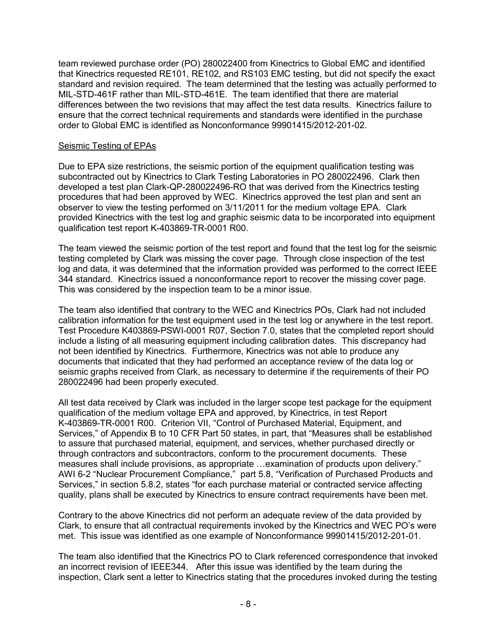team reviewed purchase order (PO) 280022400 from Kinectrics to Global EMC and identified that Kinectrics requested RE101, RE102, and RS103 EMC testing, but did not specify the exact standard and revision required. The team determined that the testing was actually performed to MIL-STD-461F rather than MIL-STD-461E. The team identified that there are material differences between the two revisions that may affect the test data results. Kinectrics failure to ensure that the correct technical requirements and standards were identified in the purchase order to Global EMC is identified as Nonconformance 99901415/2012-201-02.

## Seismic Testing of EPAs

Due to EPA size restrictions, the seismic portion of the equipment qualification testing was subcontracted out by Kinectrics to Clark Testing Laboratories in PO 280022496. Clark then developed a test plan Clark-QP-280022496-RO that was derived from the Kinectrics testing procedures that had been approved by WEC. Kinectrics approved the test plan and sent an observer to view the testing performed on 3/11/2011 for the medium voltage EPA. Clark provided Kinectrics with the test log and graphic seismic data to be incorporated into equipment qualification test report K-403869-TR-0001 R00.

The team viewed the seismic portion of the test report and found that the test log for the seismic testing completed by Clark was missing the cover page. Through close inspection of the test log and data, it was determined that the information provided was performed to the correct IEEE 344 standard. Kinectrics issued a nonconformance report to recover the missing cover page. This was considered by the inspection team to be a minor issue.

The team also identified that contrary to the WEC and Kinectrics POs, Clark had not included calibration information for the test equipment used in the test log or anywhere in the test report. Test Procedure K403869-PSWI-0001 R07, Section 7.0, states that the completed report should include a listing of all measuring equipment including calibration dates. This discrepancy had not been identified by Kinectrics. Furthermore, Kinectrics was not able to produce any documents that indicated that they had performed an acceptance review of the data log or seismic graphs received from Clark, as necessary to determine if the requirements of their PO 280022496 had been properly executed.

All test data received by Clark was included in the larger scope test package for the equipment qualification of the medium voltage EPA and approved, by Kinectrics, in test Report K-403869-TR-0001 R00. Criterion VII, "Control of Purchased Material, Equipment, and Services," of Appendix B to 10 CFR Part 50 states, in part, that "Measures shall be established to assure that purchased material, equipment, and services, whether purchased directly or through contractors and subcontractors, conform to the procurement documents. These measures shall include provisions, as appropriate …examination of products upon delivery." AWI 6-2 "Nuclear Procurement Compliance," part 5.8, "Verification of Purchased Products and Services," in section 5.8.2, states "for each purchase material or contracted service affecting quality, plans shall be executed by Kinectrics to ensure contract requirements have been met.

Contrary to the above Kinectrics did not perform an adequate review of the data provided by Clark, to ensure that all contractual requirements invoked by the Kinectrics and WEC PO's were met. This issue was identified as one example of Nonconformance 99901415/2012-201-01.

The team also identified that the Kinectrics PO to Clark referenced correspondence that invoked an incorrect revision of IEEE344. After this issue was identified by the team during the inspection, Clark sent a letter to Kinectrics stating that the procedures invoked during the testing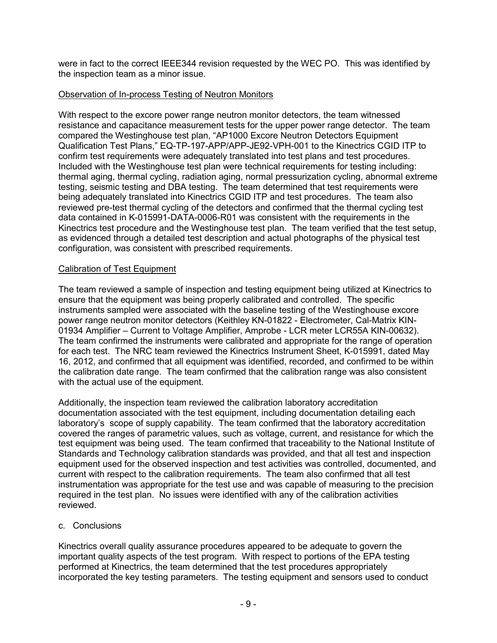were in fact to the correct IEEE344 revision requested by the WEC PO. This was identified by the inspection team as a minor issue.

## Observation of In-process Testing of Neutron Monitors

With respect to the excore power range neutron monitor detectors, the team witnessed resistance and capacitance measurement tests for the upper power range detector. The team compared the Westinghouse test plan, "AP1000 Excore Neutron Detectors Equipment Qualification Test Plans," EQ-TP-197-APP/APP-JE92-VPH-001 to the Kinectrics CGID ITP to confirm test requirements were adequately translated into test plans and test procedures. Included with the Westinghouse test plan were technical requirements for testing including: thermal aging, thermal cycling, radiation aging, normal pressurization cycling, abnormal extreme testing, seismic testing and DBA testing. The team determined that test requirements were being adequately translated into Kinectrics CGID ITP and test procedures. The team also reviewed pre-test thermal cycling of the detectors and confirmed that the thermal cycling test data contained in K-015991-DATA-0006-R01 was consistent with the requirements in the Kinectrics test procedure and the Westinghouse test plan. The team verified that the test setup, as evidenced through a detailed test description and actual photographs of the physical test configuration, was consistent with prescribed requirements.

# Calibration of Test Equipment

The team reviewed a sample of inspection and testing equipment being utilized at Kinectrics to ensure that the equipment was being properly calibrated and controlled. The specific instruments sampled were associated with the baseline testing of the Westinghouse excore power range neutron monitor detectors (Keithley KN-01822 - Electrometer, Cal-Matrix KIN-01934 Amplifier – Current to Voltage Amplifier, Amprobe - LCR meter LCR55A KIN-00632). The team confirmed the instruments were calibrated and appropriate for the range of operation for each test. The NRC team reviewed the Kinectrics Instrument Sheet, K-015991, dated May 16, 2012, and confirmed that all equipment was identified, recorded, and confirmed to be within the calibration date range. The team confirmed that the calibration range was also consistent with the actual use of the equipment.

Additionally, the inspection team reviewed the calibration laboratory accreditation documentation associated with the test equipment, including documentation detailing each laboratory's scope of supply capability. The team confirmed that the laboratory accreditation covered the ranges of parametric values, such as voltage, current, and resistance for which the test equipment was being used. The team confirmed that traceability to the National Institute of Standards and Technology calibration standards was provided, and that all test and inspection equipment used for the observed inspection and test activities was controlled, documented, and current with respect to the calibration requirements. The team also confirmed that all test instrumentation was appropriate for the test use and was capable of measuring to the precision required in the test plan. No issues were identified with any of the calibration activities reviewed.

# c. Conclusions

Kinectrics overall quality assurance procedures appeared to be adequate to govern the important quality aspects of the test program. With respect to portions of the EPA testing performed at Kinectrics, the team determined that the test procedures appropriately incorporated the key testing parameters. The testing equipment and sensors used to conduct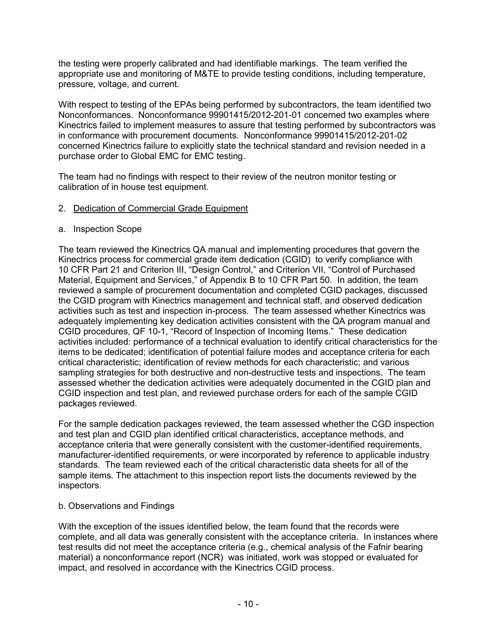the testing were properly calibrated and had identifiable markings. The team verified the appropriate use and monitoring of M&TE to provide testing conditions, including temperature, pressure, voltage, and current.

With respect to testing of the EPAs being performed by subcontractors, the team identified two Nonconformances. Nonconformance 99901415/2012-201-01 concerned two examples where Kinectrics failed to implement measures to assure that testing performed by subcontractors was in conformance with procurement documents. Nonconformance 99901415/2012-201-02 concerned Kinectrics failure to explicitly state the technical standard and revision needed in a purchase order to Global EMC for EMC testing.

The team had no findings with respect to their review of the neutron monitor testing or calibration of in house test equipment.

## 2. Dedication of Commercial Grade Equipment

#### a. Inspection Scope

The team reviewed the Kinectrics QA manual and implementing procedures that govern the Kinectrics process for commercial grade item dedication (CGID) to verify compliance with 10 CFR Part 21 and Criterion III, "Design Control," and Criterion VII, "Control of Purchased Material, Equipment and Services," of Appendix B to 10 CFR Part 50. In addition, the team reviewed a sample of procurement documentation and completed CGID packages, discussed the CGID program with Kinectrics management and technical staff, and observed dedication activities such as test and inspection in-process. The team assessed whether Kinectrics was adequately implementing key dedication activities consistent with the QA program manual and CGID procedures, QF 10-1, "Record of Inspection of Incoming Items." These dedication activities included: performance of a technical evaluation to identify critical characteristics for the items to be dedicated; identification of potential failure modes and acceptance criteria for each critical characteristic; identification of review methods for each characteristic; and various sampling strategies for both destructive and non-destructive tests and inspections. The team assessed whether the dedication activities were adequately documented in the CGID plan and CGID inspection and test plan, and reviewed purchase orders for each of the sample CGID packages reviewed.

For the sample dedication packages reviewed, the team assessed whether the CGD inspection and test plan and CGID plan identified critical characteristics, acceptance methods, and acceptance criteria that were generally consistent with the customer-identified requirements, manufacturer-identified requirements, or were incorporated by reference to applicable industry standards. The team reviewed each of the critical characteristic data sheets for all of the sample items. The attachment to this inspection report lists the documents reviewed by the inspectors.

## b. Observations and Findings

With the exception of the issues identified below, the team found that the records were complete, and all data was generally consistent with the acceptance criteria. In instances where test results did not meet the acceptance criteria (e.g., chemical analysis of the Fafnir bearing material) a nonconformance report (NCR) was initiated, work was stopped or evaluated for impact, and resolved in accordance with the Kinectrics CGID process.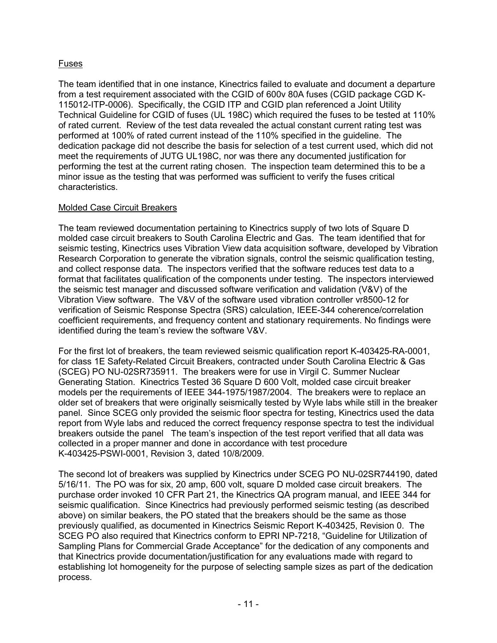# Fuses

The team identified that in one instance, Kinectrics failed to evaluate and document a departure from a test requirement associated with the CGID of 600v 80A fuses (CGID package CGD K-115012-ITP-0006). Specifically, the CGID ITP and CGID plan referenced a Joint Utility Technical Guideline for CGID of fuses (UL 198C) which required the fuses to be tested at 110% of rated current. Review of the test data revealed the actual constant current rating test was performed at 100% of rated current instead of the 110% specified in the guideline. The dedication package did not describe the basis for selection of a test current used, which did not meet the requirements of JUTG UL198C, nor was there any documented justification for performing the test at the current rating chosen. The inspection team determined this to be a minor issue as the testing that was performed was sufficient to verify the fuses critical characteristics.

## Molded Case Circuit Breakers

The team reviewed documentation pertaining to Kinectrics supply of two lots of Square D molded case circuit breakers to South Carolina Electric and Gas. The team identified that for seismic testing, Kinectrics uses Vibration View data acquisition software, developed by Vibration Research Corporation to generate the vibration signals, control the seismic qualification testing, and collect response data. The inspectors verified that the software reduces test data to a format that facilitates qualification of the components under testing. The inspectors interviewed the seismic test manager and discussed software verification and validation (V&V) of the Vibration View software. The V&V of the software used vibration controller vr8500-12 for verification of Seismic Response Spectra (SRS) calculation, IEEE-344 coherence/correlation coefficient requirements, and frequency content and stationary requirements. No findings were identified during the team's review the software V&V.

For the first lot of breakers, the team reviewed seismic qualification report K-403425-RA-0001, for class 1E Safety-Related Circuit Breakers, contracted under South Carolina Electric & Gas (SCEG) PO NU-02SR735911. The breakers were for use in Virgil C. Summer Nuclear Generating Station. Kinectrics Tested 36 Square D 600 Volt, molded case circuit breaker models per the requirements of IEEE 344-1975/1987/2004. The breakers were to replace an older set of breakers that were originally seismically tested by Wyle labs while still in the breaker panel. Since SCEG only provided the seismic floor spectra for testing, Kinectrics used the data report from Wyle labs and reduced the correct frequency response spectra to test the individual breakers outside the panel The team's inspection of the test report verified that all data was collected in a proper manner and done in accordance with test procedure K-403425-PSWI-0001, Revision 3, dated 10/8/2009.

The second lot of breakers was supplied by Kinectrics under SCEG PO NU-02SR744190, dated 5/16/11. The PO was for six, 20 amp, 600 volt, square D molded case circuit breakers. The purchase order invoked 10 CFR Part 21, the Kinectrics QA program manual, and IEEE 344 for seismic qualification. Since Kinectrics had previously performed seismic testing (as described above) on similar beakers, the PO stated that the breakers should be the same as those previously qualified, as documented in Kinectrics Seismic Report K-403425, Revision 0. The SCEG PO also required that Kinectrics conform to EPRI NP-7218, "Guideline for Utilization of Sampling Plans for Commercial Grade Acceptance" for the dedication of any components and that Kinectrics provide documentation/justification for any evaluations made with regard to establishing lot homogeneity for the purpose of selecting sample sizes as part of the dedication process.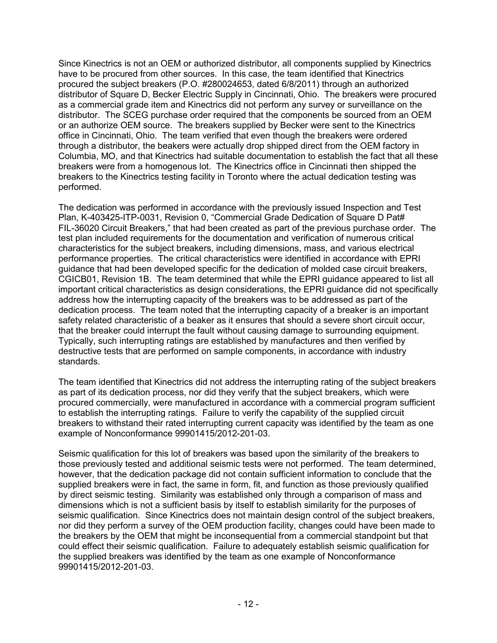Since Kinectrics is not an OEM or authorized distributor, all components supplied by Kinectrics have to be procured from other sources. In this case, the team identified that Kinectrics procured the subject breakers (P.O. #280024653, dated 6/8/2011) through an authorized distributor of Square D, Becker Electric Supply in Cincinnati, Ohio. The breakers were procured as a commercial grade item and Kinectrics did not perform any survey or surveillance on the distributor. The SCEG purchase order required that the components be sourced from an OEM or an authorize OEM source. The breakers supplied by Becker were sent to the Kinectrics office in Cincinnati, Ohio. The team verified that even though the breakers were ordered through a distributor, the beakers were actually drop shipped direct from the OEM factory in Columbia, MO, and that Kinectrics had suitable documentation to establish the fact that all these breakers were from a homogenous lot. The Kinectrics office in Cincinnati then shipped the breakers to the Kinectrics testing facility in Toronto where the actual dedication testing was performed.

The dedication was performed in accordance with the previously issued Inspection and Test Plan, K-403425-ITP-0031, Revision 0, "Commercial Grade Dedication of Square D Pat# FIL-36020 Circuit Breakers," that had been created as part of the previous purchase order. The test plan included requirements for the documentation and verification of numerous critical characteristics for the subject breakers, including dimensions, mass, and various electrical performance properties. The critical characteristics were identified in accordance with EPRI guidance that had been developed specific for the dedication of molded case circuit breakers, CGICB01, Revision 1B. The team determined that while the EPRI guidance appeared to list all important critical characteristics as design considerations, the EPRI guidance did not specifically address how the interrupting capacity of the breakers was to be addressed as part of the dedication process. The team noted that the interrupting capacity of a breaker is an important safety related characteristic of a beaker as it ensures that should a severe short circuit occur, that the breaker could interrupt the fault without causing damage to surrounding equipment. Typically, such interrupting ratings are established by manufactures and then verified by destructive tests that are performed on sample components, in accordance with industry standards.

The team identified that Kinectrics did not address the interrupting rating of the subject breakers as part of its dedication process, nor did they verify that the subject breakers, which were procured commercially, were manufactured in accordance with a commercial program sufficient to establish the interrupting ratings. Failure to verify the capability of the supplied circuit breakers to withstand their rated interrupting current capacity was identified by the team as one example of Nonconformance 99901415/2012-201-03.

Seismic qualification for this lot of breakers was based upon the similarity of the breakers to those previously tested and additional seismic tests were not performed. The team determined, however, that the dedication package did not contain sufficient information to conclude that the supplied breakers were in fact, the same in form, fit, and function as those previously qualified by direct seismic testing. Similarity was established only through a comparison of mass and dimensions which is not a sufficient basis by itself to establish similarity for the purposes of seismic qualification. Since Kinectrics does not maintain design control of the subject breakers, nor did they perform a survey of the OEM production facility, changes could have been made to the breakers by the OEM that might be inconsequential from a commercial standpoint but that could effect their seismic qualification. Failure to adequately establish seismic qualification for the supplied breakers was identified by the team as one example of Nonconformance 99901415/2012-201-03.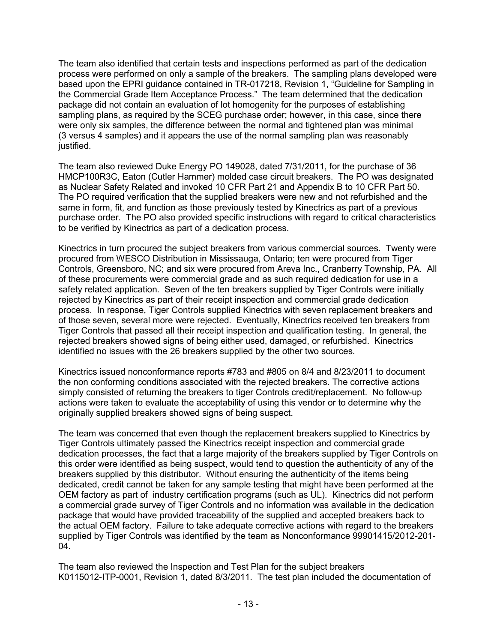The team also identified that certain tests and inspections performed as part of the dedication process were performed on only a sample of the breakers. The sampling plans developed were based upon the EPRI guidance contained in TR-017218, Revision 1, "Guideline for Sampling in the Commercial Grade Item Acceptance Process." The team determined that the dedication package did not contain an evaluation of lot homogenity for the purposes of establishing sampling plans, as required by the SCEG purchase order; however, in this case, since there were only six samples, the difference between the normal and tightened plan was minimal (3 versus 4 samples) and it appears the use of the normal sampling plan was reasonably justified.

The team also reviewed Duke Energy PO 149028, dated 7/31/2011, for the purchase of 36 HMCP100R3C, Eaton (Cutler Hammer) molded case circuit breakers. The PO was designated as Nuclear Safety Related and invoked 10 CFR Part 21 and Appendix B to 10 CFR Part 50. The PO required verification that the supplied breakers were new and not refurbished and the same in form, fit, and function as those previously tested by Kinectrics as part of a previous purchase order. The PO also provided specific instructions with regard to critical characteristics to be verified by Kinectrics as part of a dedication process.

Kinectrics in turn procured the subject breakers from various commercial sources. Twenty were procured from WESCO Distribution in Mississauga, Ontario; ten were procured from Tiger Controls, Greensboro, NC; and six were procured from Areva Inc., Cranberry Township, PA. All of these procurements were commercial grade and as such required dedication for use in a safety related application. Seven of the ten breakers supplied by Tiger Controls were initially rejected by Kinectrics as part of their receipt inspection and commercial grade dedication process. In response, Tiger Controls supplied Kinectrics with seven replacement breakers and of those seven, several more were rejected. Eventually, Kinectrics received ten breakers from Tiger Controls that passed all their receipt inspection and qualification testing. In general, the rejected breakers showed signs of being either used, damaged, or refurbished. Kinectrics identified no issues with the 26 breakers supplied by the other two sources.

Kinectrics issued nonconformance reports #783 and #805 on 8/4 and 8/23/2011 to document the non conforming conditions associated with the rejected breakers. The corrective actions simply consisted of returning the breakers to tiger Controls credit/replacement. No follow-up actions were taken to evaluate the acceptability of using this vendor or to determine why the originally supplied breakers showed signs of being suspect.

The team was concerned that even though the replacement breakers supplied to Kinectrics by Tiger Controls ultimately passed the Kinectrics receipt inspection and commercial grade dedication processes, the fact that a large majority of the breakers supplied by Tiger Controls on this order were identified as being suspect, would tend to question the authenticity of any of the breakers supplied by this distributor. Without ensuring the authenticity of the items being dedicated, credit cannot be taken for any sample testing that might have been performed at the OEM factory as part of industry certification programs (such as UL). Kinectrics did not perform a commercial grade survey of Tiger Controls and no information was available in the dedication package that would have provided traceability of the supplied and accepted breakers back to the actual OEM factory. Failure to take adequate corrective actions with regard to the breakers supplied by Tiger Controls was identified by the team as Nonconformance 99901415/2012-201- 04.

The team also reviewed the Inspection and Test Plan for the subject breakers K0115012-ITP-0001, Revision 1, dated 8/3/2011. The test plan included the documentation of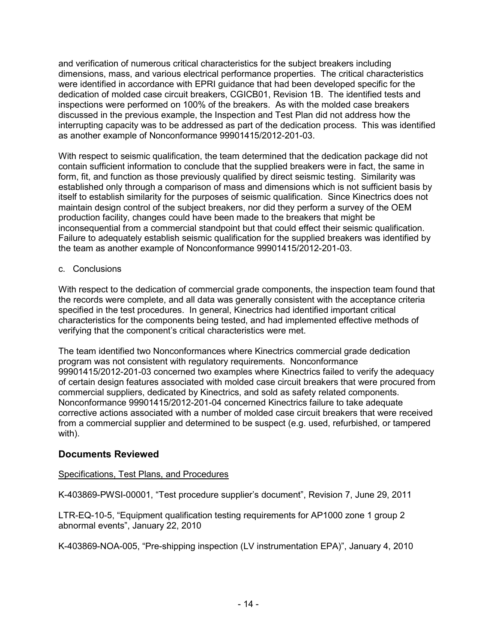and verification of numerous critical characteristics for the subject breakers including dimensions, mass, and various electrical performance properties. The critical characteristics were identified in accordance with EPRI guidance that had been developed specific for the dedication of molded case circuit breakers, CGICB01, Revision 1B. The identified tests and inspections were performed on 100% of the breakers. As with the molded case breakers discussed in the previous example, the Inspection and Test Plan did not address how the interrupting capacity was to be addressed as part of the dedication process. This was identified as another example of Nonconformance 99901415/2012-201-03.

With respect to seismic qualification, the team determined that the dedication package did not contain sufficient information to conclude that the supplied breakers were in fact, the same in form, fit, and function as those previously qualified by direct seismic testing. Similarity was established only through a comparison of mass and dimensions which is not sufficient basis by itself to establish similarity for the purposes of seismic qualification. Since Kinectrics does not maintain design control of the subject breakers, nor did they perform a survey of the OEM production facility, changes could have been made to the breakers that might be inconsequential from a commercial standpoint but that could effect their seismic qualification. Failure to adequately establish seismic qualification for the supplied breakers was identified by the team as another example of Nonconformance 99901415/2012-201-03.

c. Conclusions

With respect to the dedication of commercial grade components, the inspection team found that the records were complete, and all data was generally consistent with the acceptance criteria specified in the test procedures. In general, Kinectrics had identified important critical characteristics for the components being tested, and had implemented effective methods of verifying that the component's critical characteristics were met.

The team identified two Nonconformances where Kinectrics commercial grade dedication program was not consistent with regulatory requirements. Nonconformance 99901415/2012-201-03 concerned two examples where Kinectrics failed to verify the adequacy of certain design features associated with molded case circuit breakers that were procured from commercial suppliers, dedicated by Kinectrics, and sold as safety related components. Nonconformance 99901415/2012-201-04 concerned Kinectrics failure to take adequate corrective actions associated with a number of molded case circuit breakers that were received from a commercial supplier and determined to be suspect (e.g. used, refurbished, or tampered with).

# **Documents Reviewed**

# Specifications, Test Plans, and Procedures

K-403869-PWSI-00001, "Test procedure supplier's document", Revision 7, June 29, 2011

LTR-EQ-10-5, "Equipment qualification testing requirements for AP1000 zone 1 group 2 abnormal events", January 22, 2010

K-403869-NOA-005, "Pre-shipping inspection (LV instrumentation EPA)", January 4, 2010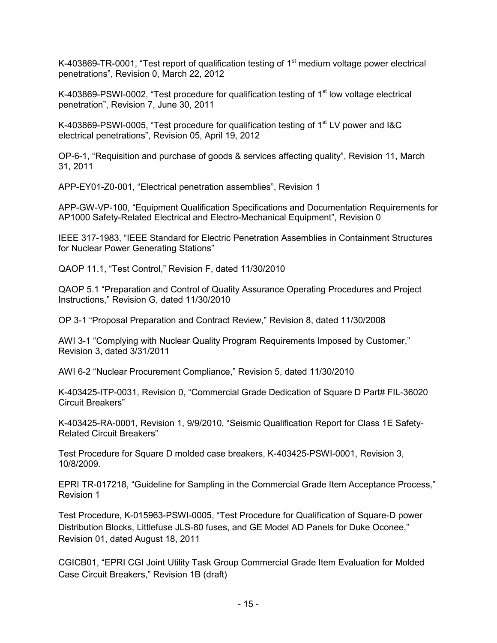K-403869-TR-0001, "Test report of qualification testing of  $1<sup>st</sup>$  medium voltage power electrical penetrations", Revision 0, March 22, 2012

K-403869-PSWI-0002, "Test procedure for qualification testing of 1<sup>st</sup> low voltage electrical penetration", Revision 7, June 30, 2011

K-403869-PSWI-0005, "Test procedure for qualification testing of  $1<sup>st</sup>$  LV power and I&C electrical penetrations", Revision 05, April 19, 2012

OP-6-1, "Requisition and purchase of goods & services affecting quality", Revision 11, March 31, 2011

APP-EY01-Z0-001, "Electrical penetration assemblies", Revision 1

APP-GW-VP-100, "Equipment Qualification Specifications and Documentation Requirements for AP1000 Safety-Related Electrical and Electro-Mechanical Equipment", Revision 0

IEEE 317-1983, "IEEE Standard for Electric Penetration Assemblies in Containment Structures for Nuclear Power Generating Stations"

QAOP 11.1, "Test Control," Revision F, dated 11/30/2010

QAOP 5.1 "Preparation and Control of Quality Assurance Operating Procedures and Project Instructions," Revision G, dated 11/30/2010

OP 3-1 "Proposal Preparation and Contract Review," Revision 8, dated 11/30/2008

AWI 3-1 "Complying with Nuclear Quality Program Requirements Imposed by Customer," Revision 3, dated 3/31/2011

AWI 6-2 "Nuclear Procurement Compliance," Revision 5, dated 11/30/2010

K-403425-ITP-0031, Revision 0, "Commercial Grade Dedication of Square D Part# FIL-36020 Circuit Breakers"

K-403425-RA-0001, Revision 1, 9/9/2010, "Seismic Qualification Report for Class 1E Safety-Related Circuit Breakers"

Test Procedure for Square D molded case breakers, K-403425-PSWI-0001, Revision 3, 10/8/2009.

EPRI TR-017218, "Guideline for Sampling in the Commercial Grade Item Acceptance Process," Revision 1

Test Procedure, K-015963-PSWI-0005, "Test Procedure for Qualification of Square-D power Distribution Blocks, Littlefuse JLS-80 fuses, and GE Model AD Panels for Duke Oconee," Revision 01, dated August 18, 2011

CGICB01, "EPRI CGI Joint Utility Task Group Commercial Grade Item Evaluation for Molded Case Circuit Breakers," Revision 1B (draft)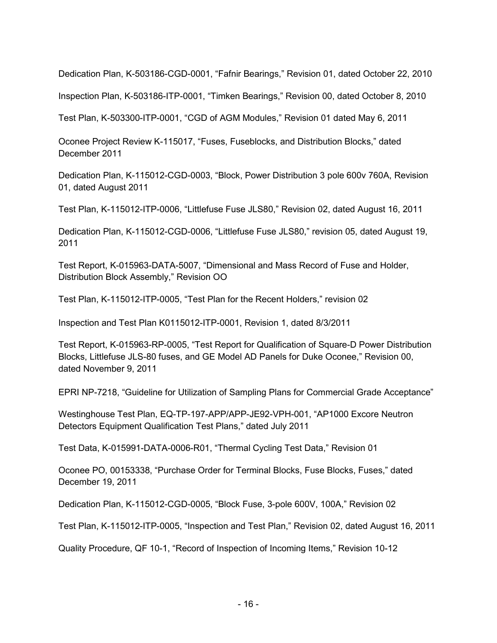Dedication Plan, K-503186-CGD-0001, "Fafnir Bearings," Revision 01, dated October 22, 2010

Inspection Plan, K-503186-ITP-0001, "Timken Bearings," Revision 00, dated October 8, 2010

Test Plan, K-503300-ITP-0001, "CGD of AGM Modules," Revision 01 dated May 6, 2011

Oconee Project Review K-115017, "Fuses, Fuseblocks, and Distribution Blocks," dated December 2011

Dedication Plan, K-115012-CGD-0003, "Block, Power Distribution 3 pole 600v 760A, Revision 01, dated August 2011

Test Plan, K-115012-ITP-0006, "Littlefuse Fuse JLS80," Revision 02, dated August 16, 2011

Dedication Plan, K-115012-CGD-0006, "Littlefuse Fuse JLS80," revision 05, dated August 19, 2011

Test Report, K-015963-DATA-5007, "Dimensional and Mass Record of Fuse and Holder, Distribution Block Assembly," Revision OO

Test Plan, K-115012-ITP-0005, "Test Plan for the Recent Holders," revision 02

Inspection and Test Plan K0115012-ITP-0001, Revision 1, dated 8/3/2011

Test Report, K-015963-RP-0005, "Test Report for Qualification of Square-D Power Distribution Blocks, Littlefuse JLS-80 fuses, and GE Model AD Panels for Duke Oconee," Revision 00, dated November 9, 2011

EPRI NP-7218, "Guideline for Utilization of Sampling Plans for Commercial Grade Acceptance"

Westinghouse Test Plan, EQ-TP-197-APP/APP-JE92-VPH-001, "AP1000 Excore Neutron Detectors Equipment Qualification Test Plans," dated July 2011

Test Data, K-015991-DATA-0006-R01, "Thermal Cycling Test Data," Revision 01

Oconee PO, 00153338, "Purchase Order for Terminal Blocks, Fuse Blocks, Fuses," dated December 19, 2011

Dedication Plan, K-115012-CGD-0005, "Block Fuse, 3-pole 600V, 100A," Revision 02

Test Plan, K-115012-ITP-0005, "Inspection and Test Plan," Revision 02, dated August 16, 2011

Quality Procedure, QF 10-1, "Record of Inspection of Incoming Items," Revision 10-12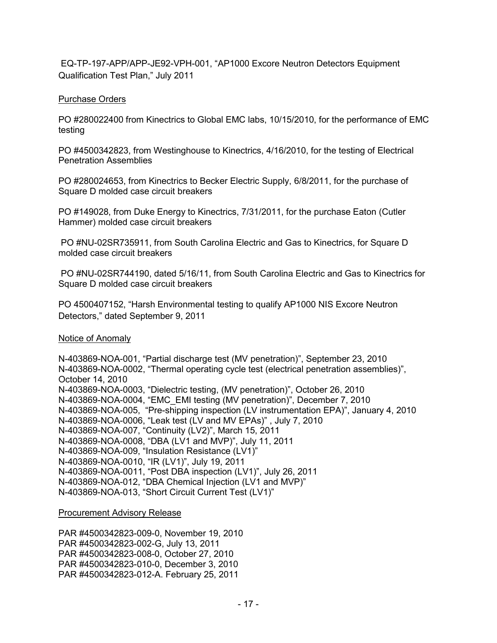EQ-TP-197-APP/APP-JE92-VPH-001, "AP1000 Excore Neutron Detectors Equipment Qualification Test Plan," July 2011

## Purchase Orders

PO #280022400 from Kinectrics to Global EMC labs, 10/15/2010, for the performance of EMC testing

PO #4500342823, from Westinghouse to Kinectrics, 4/16/2010, for the testing of Electrical Penetration Assemblies

PO #280024653, from Kinectrics to Becker Electric Supply, 6/8/2011, for the purchase of Square D molded case circuit breakers

PO #149028, from Duke Energy to Kinectrics, 7/31/2011, for the purchase Eaton (Cutler Hammer) molded case circuit breakers

 PO #NU-02SR735911, from South Carolina Electric and Gas to Kinectrics, for Square D molded case circuit breakers

 PO #NU-02SR744190, dated 5/16/11, from South Carolina Electric and Gas to Kinectrics for Square D molded case circuit breakers

PO 4500407152, "Harsh Environmental testing to qualify AP1000 NIS Excore Neutron Detectors," dated September 9, 2011

## Notice of Anomaly

N-403869-NOA-001, "Partial discharge test (MV penetration)", September 23, 2010 N-403869-NOA-0002, "Thermal operating cycle test (electrical penetration assemblies)", October 14, 2010 N-403869-NOA-0003, "Dielectric testing, (MV penetration)", October 26, 2010 N-403869-NOA-0004, "EMC\_EMI testing (MV penetration)", December 7, 2010 N-403869-NOA-005, "Pre-shipping inspection (LV instrumentation EPA)", January 4, 2010 N-403869-NOA-0006, "Leak test (LV and MV EPAs)" , July 7, 2010 N-403869-NOA-007, "Continuity (LV2)", March 15, 2011 N-403869-NOA-0008, "DBA (LV1 and MVP)", July 11, 2011 N-403869-NOA-009, "Insulation Resistance (LV1)" N-403869-NOA-0010, "IR (LV1)", July 19, 2011 N-403869-NOA-0011, "Post DBA inspection (LV1)", July 26, 2011 N-403869-NOA-012, "DBA Chemical Injection (LV1 and MVP)" N-403869-NOA-013, "Short Circuit Current Test (LV1)"

## Procurement Advisory Release

PAR #4500342823-009-0, November 19, 2010 PAR #4500342823-002-G, July 13, 2011 PAR #4500342823-008-0, October 27, 2010 PAR #4500342823-010-0, December 3, 2010 PAR #4500342823-012-A. February 25, 2011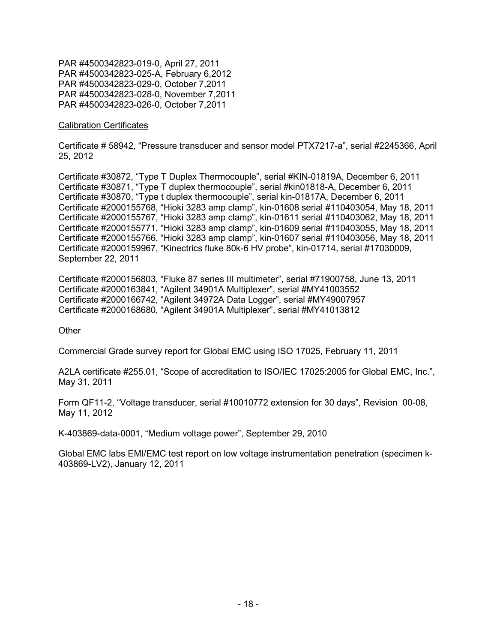PAR #4500342823-019-0, April 27, 2011 PAR #4500342823-025-A, February 6,2012 PAR #4500342823-029-0, October 7,2011 PAR #4500342823-028-0, November 7,2011 PAR #4500342823-026-0, October 7,2011

#### Calibration Certificates

Certificate # 58942, "Pressure transducer and sensor model PTX7217-a", serial #2245366, April 25, 2012

Certificate #30872, "Type T Duplex Thermocouple", serial #KIN-01819A, December 6, 2011 Certificate #30871, "Type T duplex thermocouple", serial #kin01818-A, December 6, 2011 Certificate #30870, "Type t duplex thermocouple", serial kin-01817A, December 6, 2011 Certificate #2000155768, "Hioki 3283 amp clamp", kin-01608 serial #110403054, May 18, 2011 Certificate #2000155767, "Hioki 3283 amp clamp", kin-01611 serial #110403062, May 18, 2011 Certificate #2000155771, "Hioki 3283 amp clamp", kin-01609 serial #110403055, May 18, 2011 Certificate #2000155766, "Hioki 3283 amp clamp", kin-01607 serial #110403056, May 18, 2011 Certificate #2000159967, "Kinectrics fluke 80k-6 HV probe", kin-01714, serial #17030009, September 22, 2011

Certificate #2000156803, "Fluke 87 series III multimeter", serial #71900758, June 13, 2011 Certificate #2000163841, "Agilent 34901A Multiplexer", serial #MY41003552 Certificate #2000166742, "Agilent 34972A Data Logger", serial #MY49007957 Certificate #2000168680, "Agilent 34901A Multiplexer", serial #MY41013812

#### **Other**

Commercial Grade survey report for Global EMC using ISO 17025, February 11, 2011

A2LA certificate #255.01, "Scope of accreditation to ISO/IEC 17025:2005 for Global EMC, Inc.", May 31, 2011

Form QF11-2, "Voltage transducer, serial #10010772 extension for 30 days", Revision 00-08, May 11, 2012

K-403869-data-0001, "Medium voltage power", September 29, 2010

Global EMC labs EMI/EMC test report on low voltage instrumentation penetration (specimen k-403869-LV2), January 12, 2011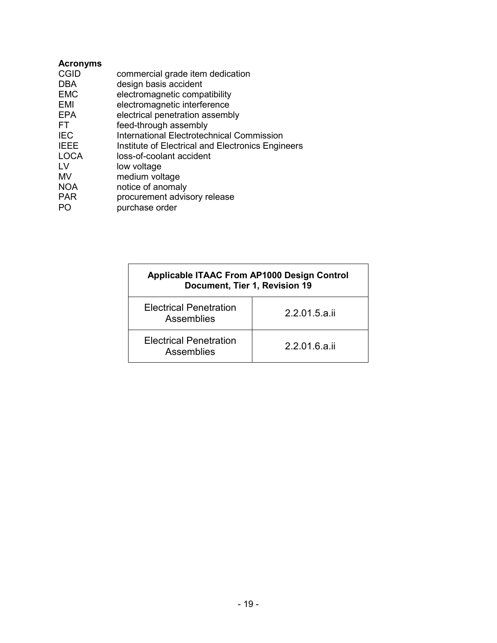| <b>Acronyms</b> |                                                   |
|-----------------|---------------------------------------------------|
| <b>CGID</b>     | commercial grade item dedication                  |
| <b>DBA</b>      | design basis accident                             |
| <b>EMC</b>      | electromagnetic compatibility                     |
| EMI             | electromagnetic interference                      |
| EPA             | electrical penetration assembly                   |
| FT.             | feed-through assembly                             |
| <b>IEC</b>      | International Electrotechnical Commission         |
| <b>IEEE</b>     | Institute of Electrical and Electronics Engineers |
| <b>LOCA</b>     | loss-of-coolant accident                          |
| TV.             | low voltage                                       |
| MV              | medium voltage                                    |
| <b>NOA</b>      | notice of anomaly                                 |
| <b>PAR</b>      | procurement advisory release                      |
| PO.             | purchase order                                    |
|                 |                                                   |

| <b>Applicable ITAAC From AP1000 Design Control</b><br>Document, Tier 1, Revision 19 |               |  |  |
|-------------------------------------------------------------------------------------|---------------|--|--|
| <b>Electrical Penetration</b><br>Assemblies                                         | 2.2.01.5.a.ii |  |  |
| <b>Electrical Penetration</b><br>Assemblies                                         | 2.2.01.6.a.ii |  |  |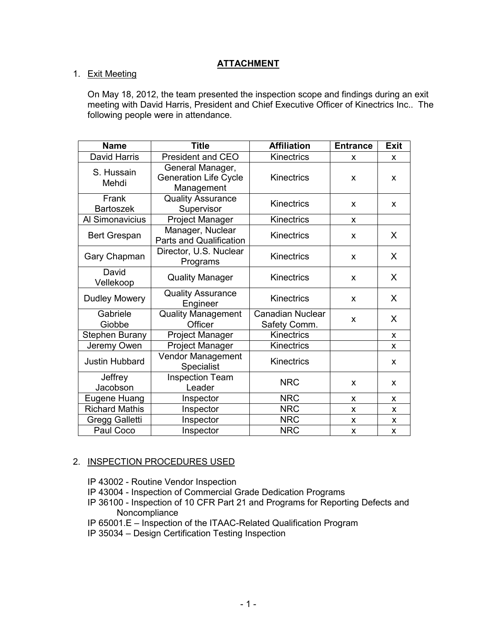# **ATTACHMENT**

## 1. Exit Meeting

On May 18, 2012, the team presented the inspection scope and findings during an exit meeting with David Harris, President and Chief Executive Officer of Kinectrics Inc.. The following people were in attendance.

| <b>Name</b>               | <b>Title</b>                                                   | <b>Affiliation</b>               | <b>Entrance</b> | <b>Exit</b> |
|---------------------------|----------------------------------------------------------------|----------------------------------|-----------------|-------------|
| David Harris              | <b>President and CEO</b>                                       | <b>Kinectrics</b>                | X               | X           |
| S. Hussain<br>Mehdi       | General Manager,<br><b>Generation Life Cycle</b><br>Management | <b>Kinectrics</b>                | X               | X           |
| Frank<br><b>Bartoszek</b> | <b>Quality Assurance</b><br>Supervisor                         | <b>Kinectrics</b>                | X               | X           |
| Al Simonavicius           | Project Manager                                                | <b>Kinectrics</b>                | X               |             |
| Bert Grespan              | Manager, Nuclear<br><b>Parts and Qualification</b>             | Kinectrics                       | X               | X           |
| Gary Chapman              | Director, U.S. Nuclear<br>Programs                             | <b>Kinectrics</b>                | X               | X           |
| David<br>Vellekoop        | <b>Quality Manager</b>                                         | <b>Kinectrics</b>                | X               | X           |
| Dudley Mowery             | <b>Quality Assurance</b><br>Engineer                           | Kinectrics                       | X               | X           |
| Gabriele<br>Giobbe        | <b>Quality Management</b><br>Officer                           | Canadian Nuclear<br>Safety Comm. | X               | X           |
| <b>Stephen Burany</b>     | Project Manager                                                | <b>Kinectrics</b>                |                 | X           |
| Jeremy Owen               | Project Manager                                                | <b>Kinectrics</b>                |                 | x           |
| Justin Hubbard            | Vendor Management<br>Specialist                                | <b>Kinectrics</b>                |                 | X           |
| Jeffrey<br>Jacobson       | <b>Inspection Team</b><br>Leader                               | <b>NRC</b>                       | X               | X           |
| Eugene Huang              | Inspector                                                      | <b>NRC</b>                       | X               | X           |
| <b>Richard Mathis</b>     | Inspector                                                      | <b>NRC</b>                       | X               | X           |
| Gregg Galletti            | Inspector                                                      | <b>NRC</b>                       | X               | X           |
| Paul Coco                 | Inspector                                                      | <b>NRC</b>                       | X               | X           |

# 2. INSPECTION PROCEDURES USED

IP 43002 - Routine Vendor Inspection

- IP 43004 Inspection of Commercial Grade Dedication Programs
- IP 36100 Inspection of 10 CFR Part 21 and Programs for Reporting Defects and Noncompliance
- IP 65001.E Inspection of the ITAAC-Related Qualification Program
- IP 35034 Design Certification Testing Inspection